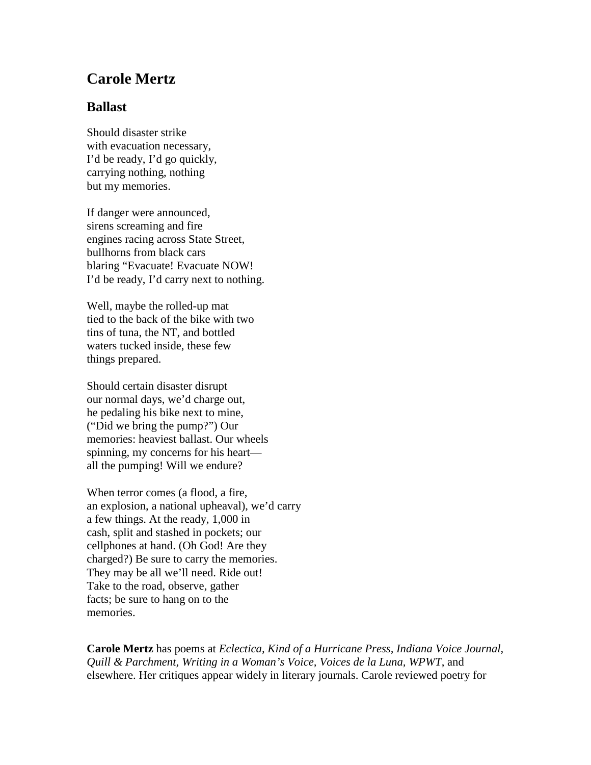## **Carole Mertz**

## **Ballast**

Should disaster strike with evacuation necessary, I'd be ready, I'd go quickly, carrying nothing, nothing but my memories.

If danger were announced, sirens screaming and fire engines racing across State Street, bullhorns from black cars blaring "Evacuate! Evacuate NOW! I'd be ready, I'd carry next to nothing.

Well, maybe the rolled-up mat tied to the back of the bike with two tins of tuna, the NT, and bottled waters tucked inside, these few things prepared.

Should certain disaster disrupt our normal days, we'd charge out, he pedaling his bike next to mine, ("Did we bring the pump?") Our memories: heaviest ballast. Our wheels spinning, my concerns for his heart all the pumping! Will we endure?

When terror comes (a flood, a fire, an explosion, a national upheaval), we'd carry a few things. At the ready, 1,000 in cash, split and stashed in pockets; our cellphones at hand. (Oh God! Are they charged?) Be sure to carry the memories. They may be all we'll need. Ride out! Take to the road, observe, gather facts; be sure to hang on to the memories.

**Carole Mertz** has poems at *Eclectica, Kind of a Hurricane Press, Indiana Voice Journal, Quill & Parchment, Writing in a Woman's Voice, Voices de la Luna, WPWT*, and elsewhere. Her critiques appear widely in literary journals. Carole reviewed poetry for